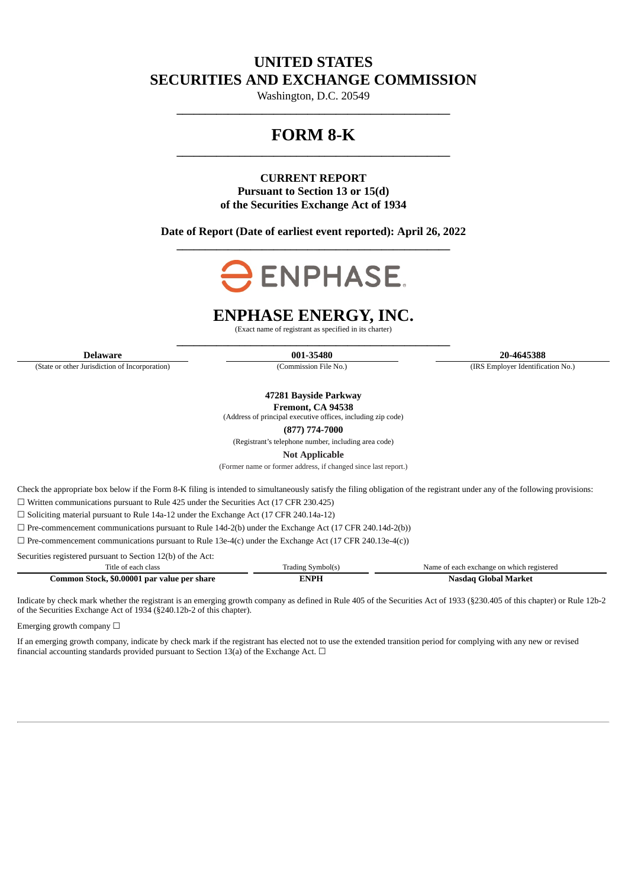# **UNITED STATES SECURITIES AND EXCHANGE COMMISSION**

Washington, D.C. 20549 **\_\_\_\_\_\_\_\_\_\_\_\_\_\_\_\_\_\_\_\_\_\_\_\_\_\_\_\_\_\_\_\_\_\_\_\_\_\_\_\_\_\_\_\_\_\_\_\_**

# **FORM 8-K \_\_\_\_\_\_\_\_\_\_\_\_\_\_\_\_\_\_\_\_\_\_\_\_\_\_\_\_\_\_\_\_\_\_\_\_\_\_\_\_\_\_\_\_\_\_\_\_**

## **CURRENT REPORT Pursuant to Section 13 or 15(d) of the Securities Exchange Act of 1934**

## **Date of Report (Date of earliest event reported): April 26, 2022 \_\_\_\_\_\_\_\_\_\_\_\_\_\_\_\_\_\_\_\_\_\_\_\_\_\_\_\_\_\_\_\_\_\_\_\_\_\_\_\_\_\_\_\_\_\_\_\_**



# **ENPHASE ENERGY, INC.**

(Exact name of registrant as specified in its charter) **\_\_\_\_\_\_\_\_\_\_\_\_\_\_\_\_\_\_\_\_\_\_\_\_\_\_\_\_\_\_\_\_\_\_\_\_\_\_\_\_\_\_\_\_\_\_\_\_**

(State or other Jurisdiction of Incorporation) (Commission File No.) (IRS Employer Identification No.)

**Delaware 001-35480 20-4645388**

**47281 Bayside Parkway Fremont, CA 94538**

(Address of principal executive offices, including zip code)

**(877) 774-7000**

(Registrant's telephone number, including area code)

**Not Applicable**

(Former name or former address, if changed since last report.)

Check the appropriate box below if the Form 8-K filing is intended to simultaneously satisfy the filing obligation of the registrant under any of the following provisions:

☐ Written communications pursuant to Rule 425 under the Securities Act (17 CFR 230.425)

☐ Soliciting material pursuant to Rule 14a-12 under the Exchange Act (17 CFR 240.14a-12)

 $\Box$  Pre-commencement communications pursuant to Rule 14d-2(b) under the Exchange Act (17 CFR 240.14d-2(b))

 $\Box$  Pre-commencement communications pursuant to Rule 13e-4(c) under the Exchange Act (17 CFR 240.13e-4(c))

Securities registered pursuant to Section 12(b) of the Act:

| ritle                                                          | . adıng<br>$\sim$ $\sim$ | Name<br>: each exchange (<br>registered<br>. which |
|----------------------------------------------------------------|--------------------------|----------------------------------------------------|
| \$0.00001<br>r par value per<br>`ommon_<br>share<br>stock<br>. |                          | .                                                  |

Indicate by check mark whether the registrant is an emerging growth company as defined in Rule 405 of the Securities Act of 1933 (§230.405 of this chapter) or Rule 12b-2 of the Securities Exchange Act of 1934 (§240.12b-2 of this chapter).

Emerging growth company  $\Box$ 

If an emerging growth company, indicate by check mark if the registrant has elected not to use the extended transition period for complying with any new or revised financial accounting standards provided pursuant to Section 13(a) of the Exchange Act.  $\Box$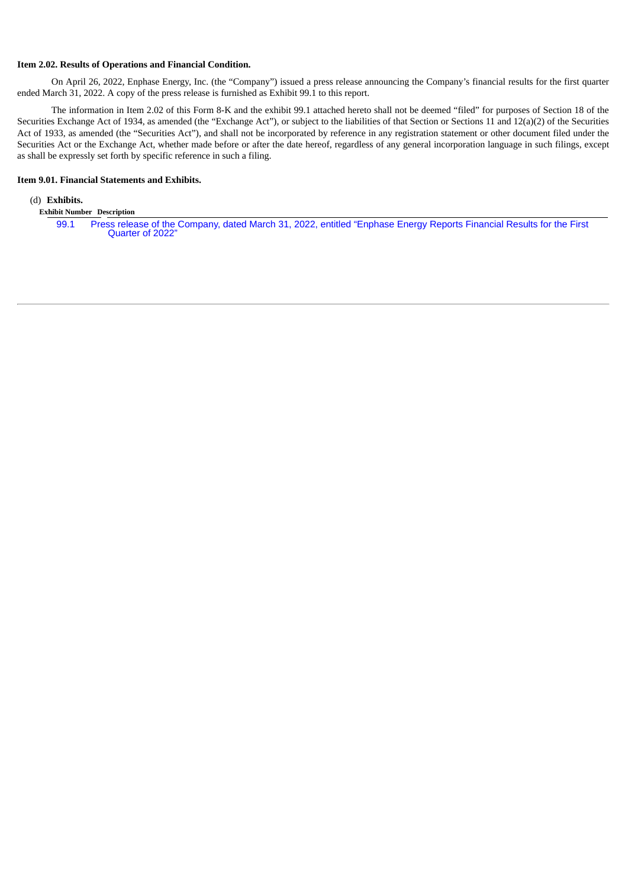#### **Item 2.02. Results of Operations and Financial Condition.**

On April 26, 2022, Enphase Energy, Inc. (the "Company") issued a press release announcing the Company's financial results for the first quarter ended March 31, 2022. A copy of the press release is furnished as Exhibit 99.1 to this report.

The information in Item 2.02 of this Form 8-K and the exhibit 99.1 attached hereto shall not be deemed "filed" for purposes of Section 18 of the Securities Exchange Act of 1934, as amended (the "Exchange Act"), or subject to the liabilities of that Section or Sections 11 and 12(a)(2) of the Securities Act of 1933, as amended (the "Securities Act"), and shall not be incorporated by reference in any registration statement or other document filed under the Securities Act or the Exchange Act, whether made before or after the date hereof, regardless of any general incorporation language in such filings, except as shall be expressly set forth by specific reference in such a filing.

#### **Item 9.01. Financial Statements and Exhibits.**

## (d) **Exhibits.**

**Exhibit Number Description**

[99.1](#page-3-0) Press release of the [Company,](#page-3-0) dated March 31, 2022, entitled "Enphase Energy Reports Financial Results for the First Quarter of 2022"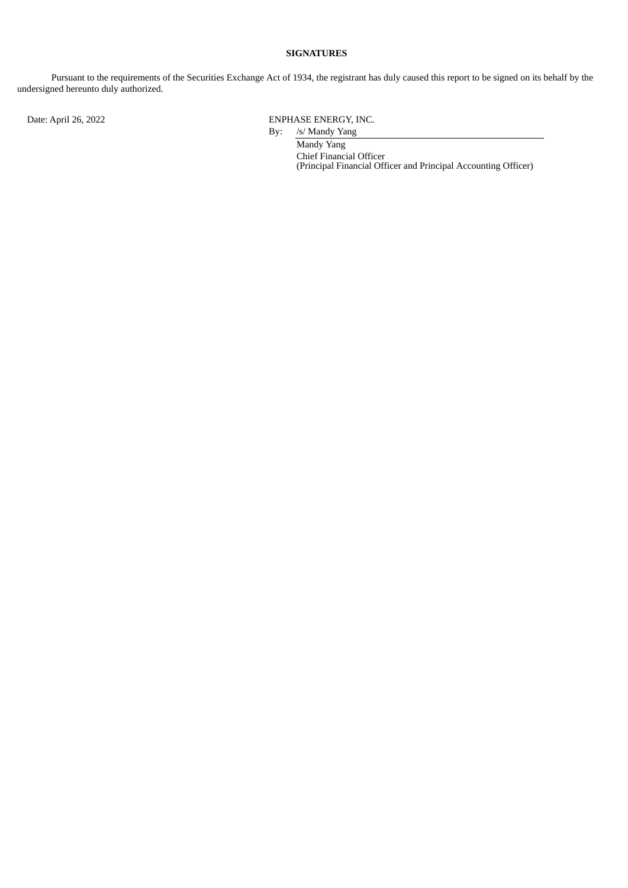## **SIGNATURES**

Pursuant to the requirements of the Securities Exchange Act of 1934, the registrant has duly caused this report to be signed on its behalf by the undersigned hereunto duly authorized.

Date: April 26, 2022 **ENPHASE ENERGY, INC.** 

By: /s/ Mandy Yang Mandy Yang Chief Financial Officer (Principal Financial Officer and Principal Accounting Officer)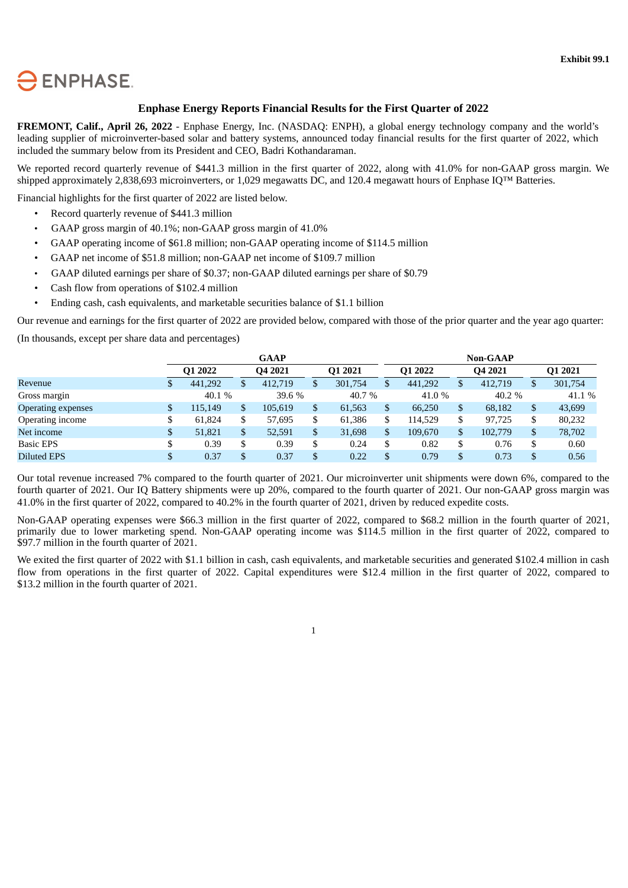<span id="page-3-0"></span>

## **Enphase Energy Reports Financial Results for the First Quarter of 2022**

**FREMONT, Calif., April 26, 2022** - Enphase Energy, Inc. (NASDAQ: ENPH), a global energy technology company and the world's leading supplier of microinverter-based solar and battery systems, announced today financial results for the first quarter of 2022, which included the summary below from its President and CEO, Badri Kothandaraman.

We reported record quarterly revenue of \$441.3 million in the first quarter of 2022, along with 41.0% for non-GAAP gross margin. We shipped approximately 2,838,693 microinverters, or 1,029 megawatts DC, and 120.4 megawatt hours of Enphase IQ™ Batteries.

Financial highlights for the first quarter of 2022 are listed below.

- Record quarterly revenue of \$441.3 million
- GAAP gross margin of 40.1%; non-GAAP gross margin of 41.0%
- GAAP operating income of \$61.8 million; non-GAAP operating income of \$114.5 million
- GAAP net income of \$51.8 million; non-GAAP net income of \$109.7 million
- GAAP diluted earnings per share of \$0.37; non-GAAP diluted earnings per share of \$0.79
- Cash flow from operations of \$102.4 million
- Ending cash, cash equivalents, and marketable securities balance of \$1.1 billion

Our revenue and earnings for the first quarter of 2022 are provided below, compared with those of the prior quarter and the year ago quarter:

(In thousands, except per share data and percentages)

|                    |   |         |   | <b>GAAP</b> |     |         |    |         |     | <b>Non-GAAP</b>     |    |         |
|--------------------|---|---------|---|-------------|-----|---------|----|---------|-----|---------------------|----|---------|
|                    |   | Q1 2022 |   | O4 2021     |     | O1 2021 |    | O1 2022 |     | O <sub>4</sub> 2021 |    | Q1 2021 |
| Revenue            |   | 441,292 | Œ | 412,719     | \$. | 301,754 | \$ | 441,292 | \$. | 412,719             | \$ | 301,754 |
| Gross margin       |   | 40.1 %  |   | 39.6 %      |     | 40.7 %  |    | 41.0 %  |     | 40.2 %              |    | 41.1 %  |
| Operating expenses | S | 115.149 |   | 105,619     | \$  | 61,563  | \$ | 66,250  |     | 68,182              | \$ | 43,699  |
| Operating income   |   | 61.824  |   | 57,695      | \$  | 61,386  | \$ | 114,529 |     | 97.725              | \$ | 80,232  |
| Net income         |   | 51,821  |   | 52,591      | \$  | 31,698  | \$ | 109.670 | \$  | 102.779             | \$ | 78,702  |
| <b>Basic EPS</b>   |   | 0.39    |   | 0.39        | \$  | 0.24    | S  | 0.82    |     | 0.76                | \$ | 0.60    |
| <b>Diluted EPS</b> |   | 0.37    |   | 0.37        | \$  | 0.22    | \$ | 0.79    |     | 0.73                | S  | 0.56    |

Our total revenue increased 7% compared to the fourth quarter of 2021. Our microinverter unit shipments were down 6%, compared to the fourth quarter of 2021. Our IQ Battery shipments were up 20%, compared to the fourth quarter of 2021. Our non-GAAP gross margin was 41.0% in the first quarter of 2022, compared to 40.2% in the fourth quarter of 2021, driven by reduced expedite costs.

Non-GAAP operating expenses were \$66.3 million in the first quarter of 2022, compared to \$68.2 million in the fourth quarter of 2021, primarily due to lower marketing spend. Non-GAAP operating income was \$114.5 million in the first quarter of 2022, compared to \$97.7 million in the fourth quarter of 2021.

We exited the first quarter of 2022 with \$1.1 billion in cash, cash equivalents, and marketable securities and generated \$102.4 million in cash flow from operations in the first quarter of 2022. Capital expenditures were \$12.4 million in the first quarter of 2022, compared to \$13.2 million in the fourth quarter of 2021.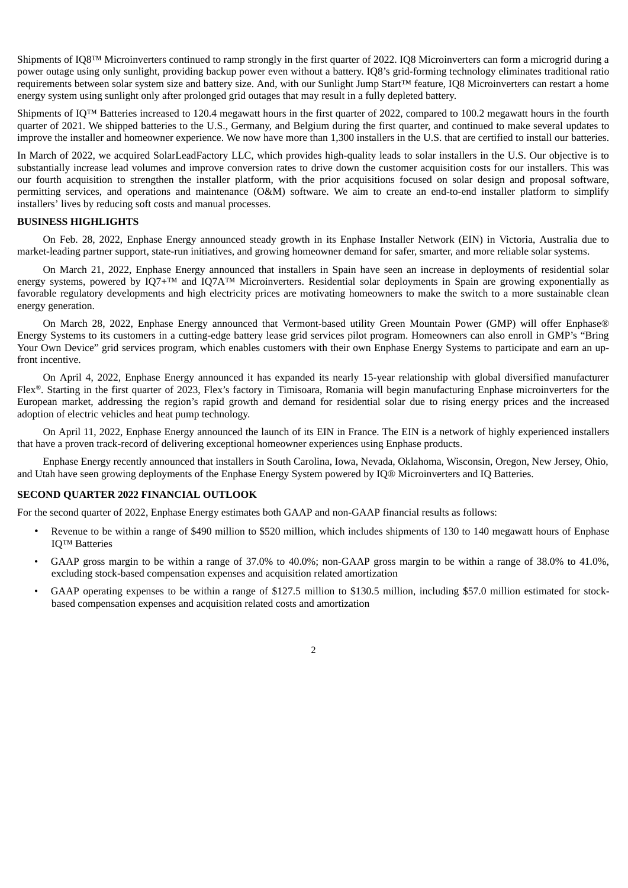Shipments of IQ8™ Microinverters continued to ramp strongly in the first quarter of 2022. IQ8 Microinverters can form a microgrid during a power outage using only sunlight, providing backup power even without a battery. IQ8's grid-forming technology eliminates traditional ratio requirements between solar system size and battery size. And, with our Sunlight Jump Start™ feature, IQ8 Microinverters can restart a home energy system using sunlight only after prolonged grid outages that may result in a fully depleted battery.

Shipments of IQ™ Batteries increased to 120.4 megawatt hours in the first quarter of 2022, compared to 100.2 megawatt hours in the fourth quarter of 2021. We shipped batteries to the U.S., Germany, and Belgium during the first quarter, and continued to make several updates to improve the installer and homeowner experience. We now have more than 1,300 installers in the U.S. that are certified to install our batteries.

In March of 2022, we acquired SolarLeadFactory LLC, which provides high-quality leads to solar installers in the U.S. Our objective is to substantially increase lead volumes and improve conversion rates to drive down the customer acquisition costs for our installers. This was our fourth acquisition to strengthen the installer platform, with the prior acquisitions focused on solar design and proposal software, permitting services, and operations and maintenance (O&M) software. We aim to create an end-to-end installer platform to simplify installers' lives by reducing soft costs and manual processes.

#### **BUSINESS HIGHLIGHTS**

On Feb. 28, 2022, Enphase Energy announced steady growth in its Enphase Installer Network (EIN) in Victoria, Australia due to market-leading partner support, state-run initiatives, and growing homeowner demand for safer, smarter, and more reliable solar systems.

On March 21, 2022, Enphase Energy announced that installers in Spain have seen an increase in deployments of residential solar energy systems, powered by IQ7+™ and IQ7A™ Microinverters. Residential solar deployments in Spain are growing exponentially as favorable regulatory developments and high electricity prices are motivating homeowners to make the switch to a more sustainable clean energy generation.

On March 28, 2022, Enphase Energy announced that Vermont-based utility Green Mountain Power (GMP) will offer Enphase® Energy Systems to its customers in a cutting-edge battery lease grid services pilot program. Homeowners can also enroll in GMP's "Bring Your Own Device" grid services program, which enables customers with their own Enphase Energy Systems to participate and earn an upfront incentive.

On April 4, 2022, Enphase Energy announced it has expanded its nearly 15-year relationship with global diversified manufacturer  $Flex^{\otimes}$ . Starting in the first quarter of 2023, Flex's factory in Timisoara, Romania will begin manufacturing Enphase microinverters for the European market, addressing the region's rapid growth and demand for residential solar due to rising energy prices and the increased adoption of electric vehicles and heat pump technology.

On April 11, 2022, Enphase Energy announced the launch of its EIN in France. The EIN is a network of highly experienced installers that have a proven track-record of delivering exceptional homeowner experiences using Enphase products.

Enphase Energy recently announced that installers in South Carolina, Iowa, Nevada, Oklahoma, Wisconsin, Oregon, New Jersey, Ohio, and Utah have seen growing deployments of the Enphase Energy System powered by IQ® Microinverters and IQ Batteries.

#### **SECOND QUARTER 2022 FINANCIAL OUTLOOK**

For the second quarter of 2022, Enphase Energy estimates both GAAP and non-GAAP financial results as follows:

- Revenue to be within a range of \$490 million to \$520 million, which includes shipments of 130 to 140 megawatt hours of Enphase IQ™ Batteries
- GAAP gross margin to be within a range of 37.0% to 40.0%; non-GAAP gross margin to be within a range of 38.0% to 41.0%, excluding stock-based compensation expenses and acquisition related amortization
- GAAP operating expenses to be within a range of \$127.5 million to \$130.5 million, including \$57.0 million estimated for stockbased compensation expenses and acquisition related costs and amortization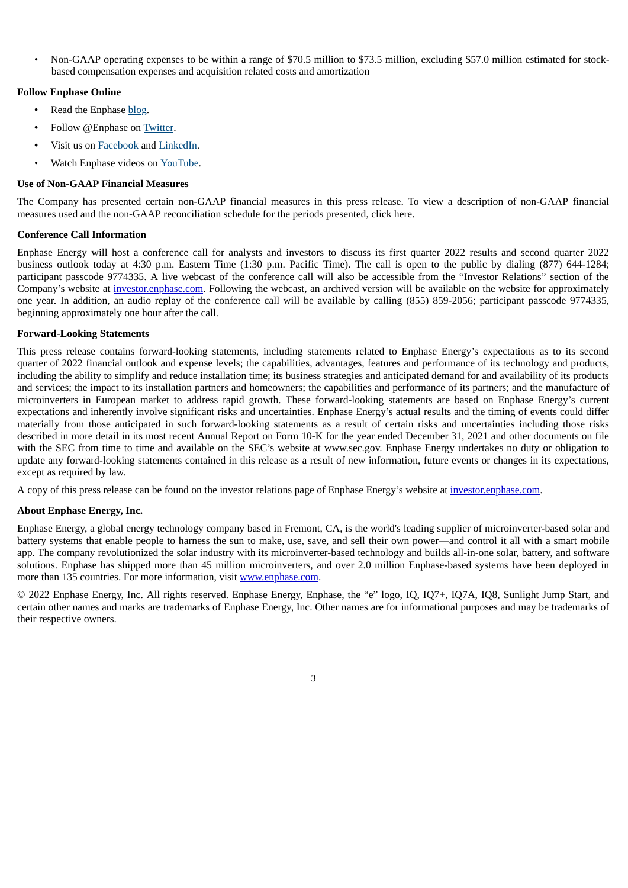• Non-GAAP operating expenses to be within a range of \$70.5 million to \$73.5 million, excluding \$57.0 million estimated for stockbased compensation expenses and acquisition related costs and amortization

### **Follow Enphase Online**

- **•** Read the Enphase blog.
- **•** Follow @Enphase on Twitter.
- **•** Visit us on Facebook and LinkedIn.
- Watch Enphase videos on YouTube.

#### **Use of Non-GAAP Financial Measures**

The Company has presented certain non-GAAP financial measures in this press release. To view a description of non-GAAP financial measures used and the non-GAAP reconciliation schedule for the periods presented, click here.

#### **Conference Call Information**

Enphase Energy will host a conference call for analysts and investors to discuss its first quarter 2022 results and second quarter 2022 business outlook today at 4:30 p.m. Eastern Time (1:30 p.m. Pacific Time). The call is open to the public by dialing (877) 644-1284; participant passcode 9774335. A live webcast of the conference call will also be accessible from the "Investor Relations" section of the Company's website at investor.enphase.com. Following the webcast, an archived version will be available on the website for approximately one year. In addition, an audio replay of the conference call will be available by calling (855) 859-2056; participant passcode 9774335, beginning approximately one hour after the call.

#### **Forward-Looking Statements**

This press release contains forward-looking statements, including statements related to Enphase Energy's expectations as to its second quarter of 2022 financial outlook and expense levels; the capabilities, advantages, features and performance of its technology and products, including the ability to simplify and reduce installation time; its business strategies and anticipated demand for and availability of its products and services; the impact to its installation partners and homeowners; the capabilities and performance of its partners; and the manufacture of microinverters in European market to address rapid growth. These forward-looking statements are based on Enphase Energy's current expectations and inherently involve significant risks and uncertainties. Enphase Energy's actual results and the timing of events could differ materially from those anticipated in such forward-looking statements as a result of certain risks and uncertainties including those risks described in more detail in its most recent Annual Report on Form 10-K for the year ended December 31, 2021 and other documents on file with the SEC from time to time and available on the SEC's website at www.sec.gov. Enphase Energy undertakes no duty or obligation to update any forward-looking statements contained in this release as a result of new information, future events or changes in its expectations, except as required by law.

A copy of this press release can be found on the investor relations page of Enphase Energy's website at investor.enphase.com.

### **About Enphase Energy, Inc.**

Enphase Energy, a global energy technology company based in Fremont, CA, is the world's leading supplier of microinverter-based solar and battery systems that enable people to harness the sun to make, use, save, and sell their own power—and control it all with a smart mobile app. The company revolutionized the solar industry with its microinverter-based technology and builds all-in-one solar, battery, and software solutions. Enphase has shipped more than 45 million microinverters, and over 2.0 million Enphase-based systems have been deployed in more than 135 countries. For more information, visit www.enphase.com.

© 2022 Enphase Energy, Inc. All rights reserved. Enphase Energy, Enphase, the "e" logo, IQ, IQ7+, IQ7A, IQ8, Sunlight Jump Start, and certain other names and marks are trademarks of Enphase Energy, Inc. Other names are for informational purposes and may be trademarks of their respective owners.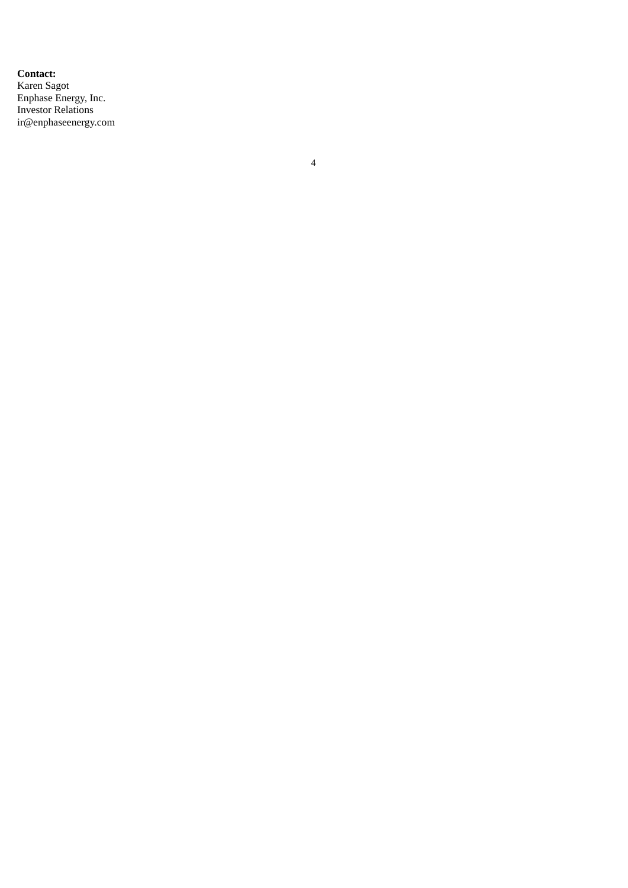**Contact:** Karen Sagot Enphase Energy, Inc. Investor Relations ir@enphaseenergy.co m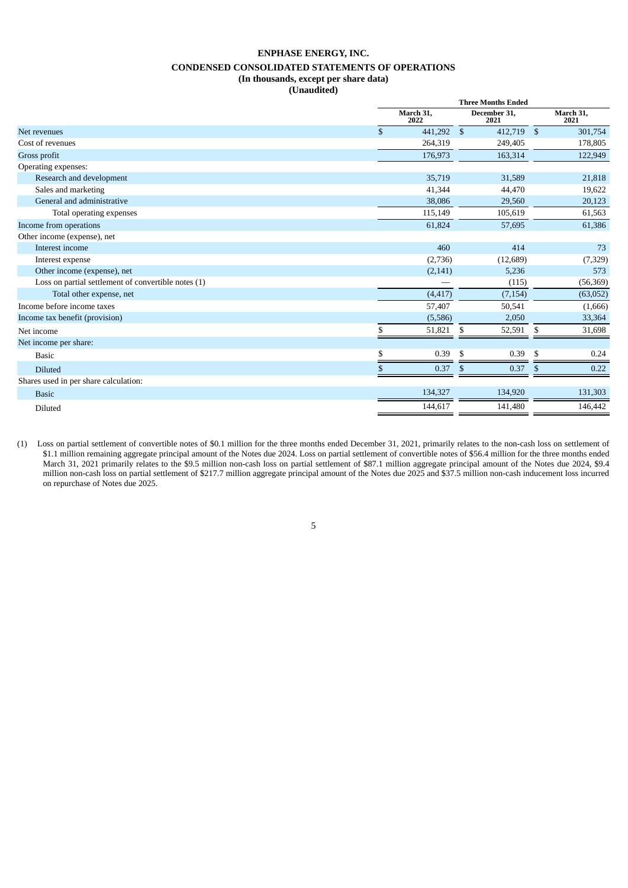### **ENPHASE ENERGY, INC. CONDENSED CONSOLIDATED STATEMENTS OF OPERATIONS (In thousands, except per share data) (Unaudited)**

|                                                     | <b>Three Months Ended</b>  |     |                      |     |                   |
|-----------------------------------------------------|----------------------------|-----|----------------------|-----|-------------------|
|                                                     | March 31,<br>2022          |     | December 31,<br>2021 |     | March 31,<br>2021 |
| Net revenues                                        | $\mathbf{s}$<br>441,292 \$ |     | 412,719 \$           |     | 301,754           |
| Cost of revenues                                    | 264,319                    |     | 249,405              |     | 178,805           |
| Gross profit                                        | 176,973                    |     | 163,314              |     | 122,949           |
| Operating expenses:                                 |                            |     |                      |     |                   |
| Research and development                            | 35,719                     |     | 31,589               |     | 21,818            |
| Sales and marketing                                 | 41,344                     |     | 44,470               |     | 19,622            |
| General and administrative                          | 38,086                     |     | 29,560               |     | 20,123            |
| Total operating expenses                            | 115,149                    |     | 105,619              |     | 61,563            |
| Income from operations                              | 61,824                     |     | 57,695               |     | 61,386            |
| Other income (expense), net                         |                            |     |                      |     |                   |
| Interest income                                     | 460                        |     | 414                  |     | 73                |
| Interest expense                                    | (2,736)                    |     | (12,689)             |     | (7, 329)          |
| Other income (expense), net                         | (2, 141)                   |     | 5,236                |     | 573               |
| Loss on partial settlement of convertible notes (1) |                            |     | (115)                |     | (56, 369)         |
| Total other expense, net                            | (4, 417)                   |     | (7, 154)             |     | (63,052)          |
| Income before income taxes                          | 57,407                     |     | 50,541               |     | (1,666)           |
| Income tax benefit (provision)                      | (5,586)                    |     | 2,050                |     | 33,364            |
| Net income                                          | \$<br>51,821               | -\$ | 52,591               | \$  | 31,698            |
| Net income per share:                               |                            |     |                      |     |                   |
| <b>Basic</b>                                        | 0.39<br>\$                 | -\$ | 0.39                 | -\$ | 0.24              |
| <b>Diluted</b>                                      | 0.37<br>\$                 | \$  | 0.37                 | \$  | 0.22              |
| Shares used in per share calculation:               |                            |     |                      |     |                   |
| <b>Basic</b>                                        | 134,327                    |     | 134,920              |     | 131,303           |
| Diluted                                             | 144,617                    |     | 141,480              |     | 146,442           |
|                                                     |                            |     |                      |     |                   |

(1) Loss on partial settlement of convertible notes of \$0.1 million for the three months ended December 31, 2021, primarily relates to the non-cash loss on settlement of \$1.1 million remaining aggregate principal amount of the Notes due 2024. Loss on partial settlement of convertible notes of \$56.4 million for the three months ended March 31, 2021 primarily relates to the \$9.5 million non-cash loss on partial settlement of \$87.1 million aggregate principal amount of the Notes due 2024, \$9.4 million non-cash loss on partial settlement of \$217.7 million aggregate principal amount of the Notes due 2025 and \$37.5 million non-cash inducement loss incurred on repurchase of Notes due 2025.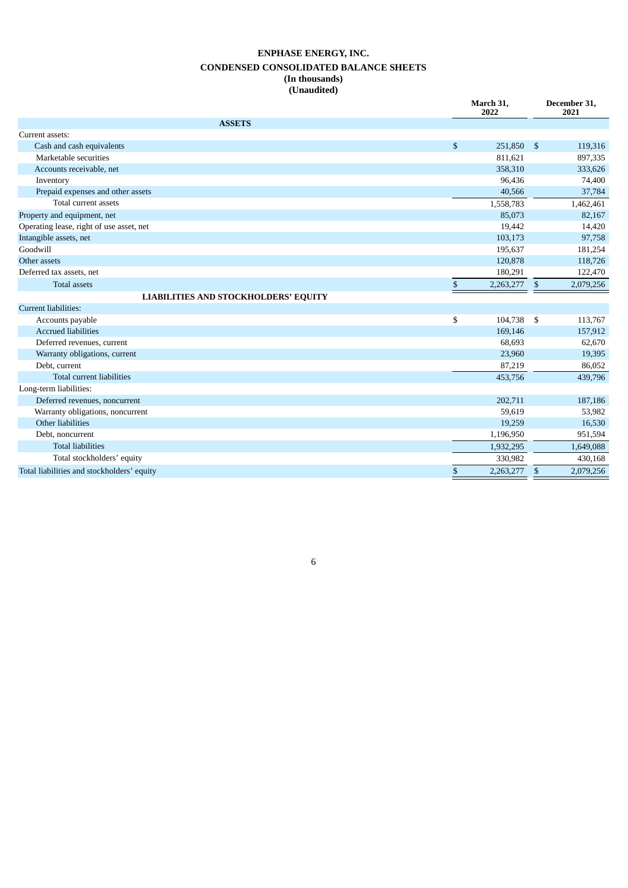## **ENPHASE ENERGY, INC. CONDENSED CONSOLIDATED BALANCE SHEETS (In thousands) (Unaudited)**

|                                             | March 31,<br>2022 |                | December 31,<br>2021 |
|---------------------------------------------|-------------------|----------------|----------------------|
| <b>ASSETS</b>                               |                   |                |                      |
| Current assets:                             |                   |                |                      |
| Cash and cash equivalents                   | \$<br>251,850     | - \$           | 119,316              |
| Marketable securities                       | 811,621           |                | 897,335              |
| Accounts receivable, net                    | 358,310           |                | 333,626              |
| Inventory                                   | 96,436            |                | 74,400               |
| Prepaid expenses and other assets           | 40,566            |                | 37,784               |
| Total current assets                        | 1,558,783         |                | 1,462,461            |
| Property and equipment, net                 | 85,073            |                | 82,167               |
| Operating lease, right of use asset, net    | 19,442            |                | 14,420               |
| Intangible assets, net                      | 103,173           |                | 97,758               |
| Goodwill                                    | 195,637           |                | 181,254              |
| Other assets                                | 120,878           |                | 118,726              |
| Deferred tax assets, net                    | 180,291           |                | 122,470              |
| <b>Total assets</b>                         | \$<br>2,263,277   | \$             | 2,079,256            |
| <b>LIABILITIES AND STOCKHOLDERS' EQUITY</b> |                   |                |                      |
| Current liabilities:                        |                   |                |                      |
| Accounts payable                            | \$<br>104,738     | - \$           | 113,767              |
| <b>Accrued liabilities</b>                  | 169,146           |                | 157,912              |
| Deferred revenues, current                  | 68,693            |                | 62,670               |
| Warranty obligations, current               | 23,960            |                | 19,395               |
| Debt, current                               | 87,219            |                | 86,052               |
| Total current liabilities                   | 453,756           |                | 439,796              |
| Long-term liabilities:                      |                   |                |                      |
| Deferred revenues, noncurrent               | 202,711           |                | 187,186              |
| Warranty obligations, noncurrent            | 59,619            |                | 53,982               |
| Other liabilities                           | 19,259            |                | 16,530               |
| Debt, noncurrent                            | 1,196,950         |                | 951,594              |
| <b>Total liabilities</b>                    | 1,932,295         |                | 1,649,088            |
| Total stockholders' equity                  | 330,982           |                | 430,168              |
| Total liabilities and stockholders' equity  | \$<br>2,263,277   | $\mathfrak{s}$ | 2,079,256            |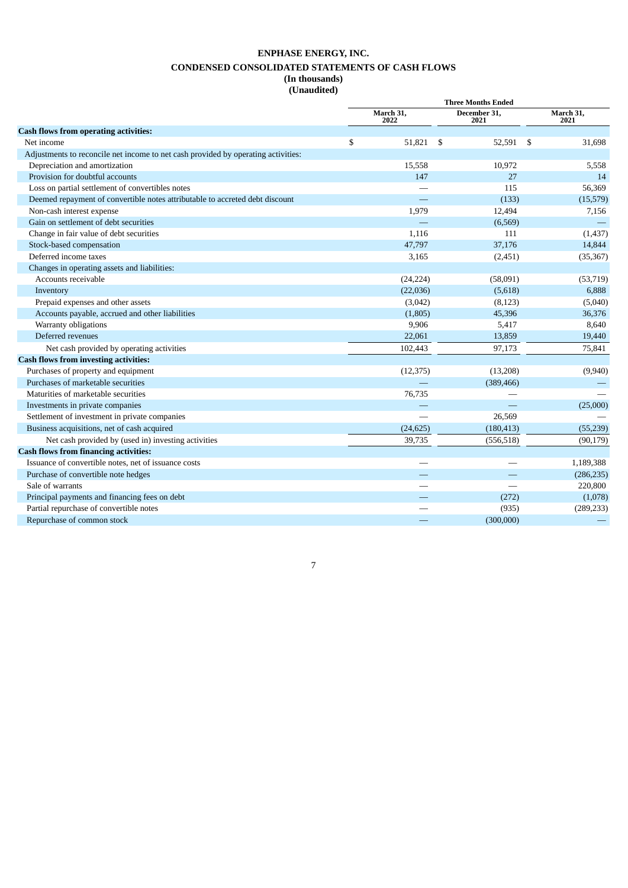## **ENPHASE ENERGY, INC. CONDENSED CONSOLIDATED STATEMENTS OF CASH FLOWS (In thousands)**

**(Unaudited)**

|                                                                                   | March 31,                | <b>Three Months Ended</b><br>December 31, | March 31,     |
|-----------------------------------------------------------------------------------|--------------------------|-------------------------------------------|---------------|
|                                                                                   | 2022                     | 2021                                      | 2021          |
| <b>Cash flows from operating activities:</b>                                      |                          |                                           |               |
| Net income                                                                        | \$<br>51,821             | 52,591<br>\$                              | 31,698<br>-\$ |
| Adjustments to reconcile net income to net cash provided by operating activities: |                          |                                           |               |
| Depreciation and amortization                                                     | 15,558                   | 10,972                                    | 5,558         |
| Provision for doubtful accounts                                                   | 147                      | 27                                        | 14            |
| Loss on partial settlement of convertibles notes                                  |                          | 115                                       | 56,369        |
| Deemed repayment of convertible notes attributable to accreted debt discount      |                          | (133)                                     | (15,579)      |
| Non-cash interest expense                                                         | 1,979                    | 12,494                                    | 7,156         |
| Gain on settlement of debt securities                                             |                          | (6,569)                                   |               |
| Change in fair value of debt securities                                           | 1,116                    | 111                                       | (1,437)       |
| Stock-based compensation                                                          | 47,797                   | 37,176                                    | 14,844        |
| Deferred income taxes                                                             | 3,165                    | (2,451)                                   | (35, 367)     |
| Changes in operating assets and liabilities:                                      |                          |                                           |               |
| Accounts receivable                                                               | (24, 224)                | (58,091)                                  | (53,719)      |
| Inventory                                                                         | (22,036)                 | (5,618)                                   | 6,888         |
| Prepaid expenses and other assets                                                 | (3,042)                  | (8, 123)                                  | (5,040)       |
| Accounts payable, accrued and other liabilities                                   | (1,805)                  | 45,396                                    | 36,376        |
| Warranty obligations                                                              | 9,906                    | 5,417                                     | 8,640         |
| Deferred revenues                                                                 | 22,061                   | 13,859                                    | 19,440        |
| Net cash provided by operating activities                                         | 102,443                  | 97,173                                    | 75,841        |
| <b>Cash flows from investing activities:</b>                                      |                          |                                           |               |
| Purchases of property and equipment                                               | (12, 375)                | (13,208)                                  | (9,940)       |
| Purchases of marketable securities                                                |                          | (389, 466)                                |               |
| Maturities of marketable securities                                               | 76,735                   |                                           |               |
| Investments in private companies                                                  | $\overline{\phantom{0}}$ |                                           | (25,000)      |
| Settlement of investment in private companies                                     |                          | 26,569                                    |               |
| Business acquisitions, net of cash acquired                                       | (24, 625)                | (180, 413)                                | (55, 239)     |
| Net cash provided by (used in) investing activities                               | 39,735                   | (556, 518)                                | (90, 179)     |
| <b>Cash flows from financing activities:</b>                                      |                          |                                           |               |
| Issuance of convertible notes, net of issuance costs                              |                          |                                           | 1,189,388     |
| Purchase of convertible note hedges                                               |                          |                                           | (286, 235)    |
| Sale of warrants                                                                  |                          |                                           | 220,800       |
| Principal payments and financing fees on debt                                     |                          | (272)                                     | (1,078)       |
| Partial repurchase of convertible notes                                           |                          | (935)                                     | (289, 233)    |
| Repurchase of common stock                                                        |                          | (300,000)                                 |               |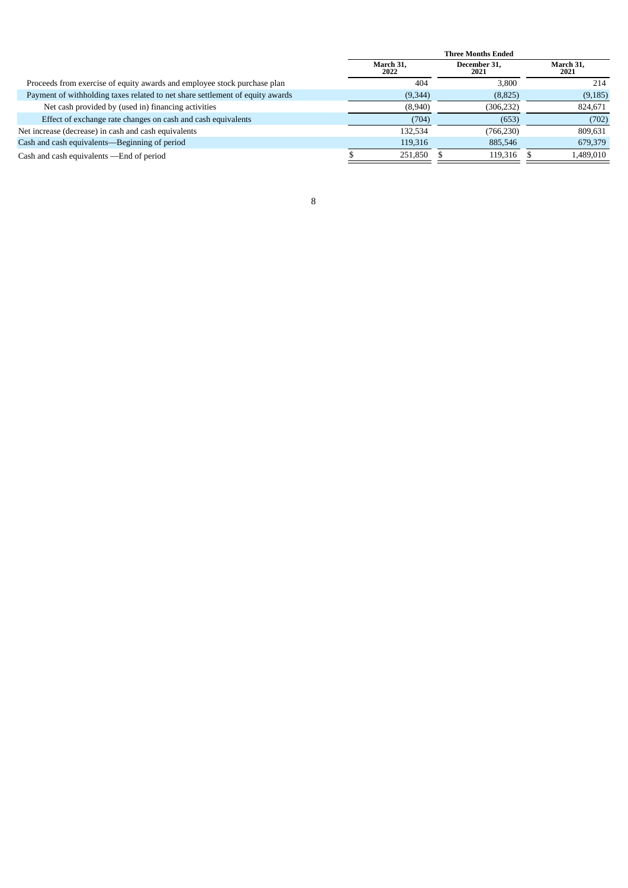|                                                                               | <b>Three Months Ended</b> |                      |                   |  |  |  |
|-------------------------------------------------------------------------------|---------------------------|----------------------|-------------------|--|--|--|
|                                                                               | March 31.<br>2022         | December 31,<br>2021 | March 31,<br>2021 |  |  |  |
| Proceeds from exercise of equity awards and employee stock purchase plan      | 404                       | 3.800                | 214               |  |  |  |
| Payment of withholding taxes related to net share settlement of equity awards | (9,344)                   | (8,825)              | (9, 185)          |  |  |  |
| Net cash provided by (used in) financing activities                           | (8,940)                   | (306, 232)           | 824,671           |  |  |  |
| Effect of exchange rate changes on cash and cash equivalents                  | (704)                     | (653)                | (702)             |  |  |  |
| Net increase (decrease) in cash and cash equivalents                          | 132,534                   | (766, 230)           | 809.631           |  |  |  |
| Cash and cash equivalents—Beginning of period                                 | 119,316                   | 885,546              | 679,379           |  |  |  |
| Cash and cash equivalents - End of period                                     | 251,850                   | 119,316              | 1,489,010         |  |  |  |
|                                                                               |                           |                      |                   |  |  |  |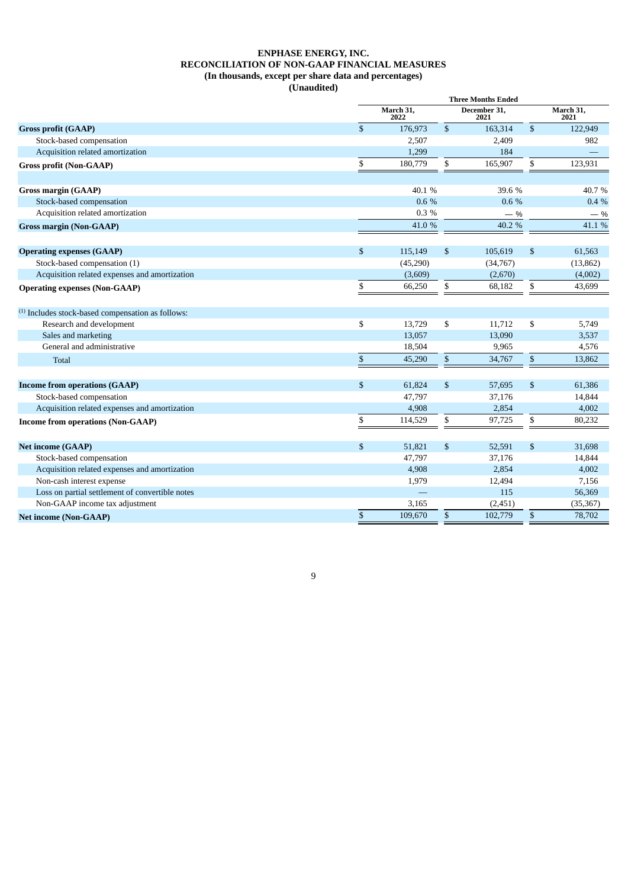#### **ENPHASE ENERGY, INC. RECONCILIATION OF NON-GAAP FINANCIAL MEASURES (In thousands, except per share data and percentages) (Unaudited)**

|    | 2022     |                                                                                                            | 2021     |                                                                                                                                                | March 31,<br>2021 |
|----|----------|------------------------------------------------------------------------------------------------------------|----------|------------------------------------------------------------------------------------------------------------------------------------------------|-------------------|
| \$ | 176,973  | \$                                                                                                         | 163,314  | $\mathbb{S}$                                                                                                                                   | 122,949           |
|    | 2,507    |                                                                                                            | 2,409    |                                                                                                                                                | 982               |
|    | 1,299    |                                                                                                            | 184      |                                                                                                                                                |                   |
| \$ | 180,779  | \$                                                                                                         | 165,907  | \$                                                                                                                                             | 123,931           |
|    |          |                                                                                                            |          |                                                                                                                                                | 40.7%             |
|    |          |                                                                                                            |          |                                                                                                                                                | 0.4%              |
|    |          |                                                                                                            |          |                                                                                                                                                | $-$ %             |
|    | 41.0%    |                                                                                                            | 40.2 %   |                                                                                                                                                | 41.1 %            |
|    |          |                                                                                                            |          |                                                                                                                                                | 61,563            |
|    |          |                                                                                                            |          |                                                                                                                                                | (13, 862)         |
|    |          |                                                                                                            |          |                                                                                                                                                | (4,002)           |
| \$ | 66,250   | \$                                                                                                         | 68,182   | \$                                                                                                                                             | 43,699            |
|    |          |                                                                                                            |          |                                                                                                                                                |                   |
|    |          |                                                                                                            |          |                                                                                                                                                |                   |
| \$ | 13,729   | \$                                                                                                         | 11,712   | \$                                                                                                                                             | 5,749             |
|    | 13,057   |                                                                                                            | 13,090   |                                                                                                                                                | 3,537             |
|    | 18,504   |                                                                                                            | 9,965    |                                                                                                                                                | 4,576             |
| \$ | 45,290   | \$                                                                                                         | 34,767   | \$                                                                                                                                             | 13,862            |
| \$ | 61,824   | \$                                                                                                         | 57,695   | \$                                                                                                                                             | 61,386            |
|    | 47,797   |                                                                                                            | 37,176   |                                                                                                                                                | 14,844            |
|    | 4,908    |                                                                                                            | 2,854    |                                                                                                                                                | 4,002             |
| \$ | 114,529  | \$                                                                                                         | 97,725   | \$                                                                                                                                             | 80,232            |
|    |          |                                                                                                            |          |                                                                                                                                                | 31,698            |
|    |          |                                                                                                            |          |                                                                                                                                                | 14,844            |
|    |          |                                                                                                            |          |                                                                                                                                                | 4,002             |
|    |          |                                                                                                            |          |                                                                                                                                                | 7,156             |
|    |          |                                                                                                            | 115      |                                                                                                                                                | 56,369            |
|    | 3,165    |                                                                                                            | (2, 451) |                                                                                                                                                | (35, 367)         |
| \$ | 109,670  | \$                                                                                                         | 102,779  | \$                                                                                                                                             | 78,702            |
|    | \$<br>\$ | March 31,<br>40.1%<br>0.6%<br>0.3%<br>115,149<br>(45,290)<br>(3,609)<br>51,821<br>47,797<br>4,908<br>1,979 | \$<br>\$ | <b>Three Months Ended</b><br>December 31,<br>39.6 %<br>0.6 %<br>$-$ %<br>105,619<br>(34,767)<br>(2,670)<br>52,591<br>37,176<br>2,854<br>12,494 | \$<br>\$          |